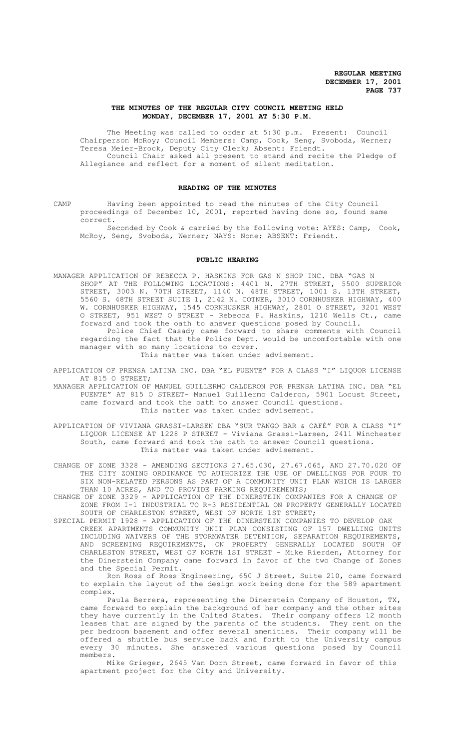# **THE MINUTES OF THE REGULAR CITY COUNCIL MEETING HELD MONDAY, DECEMBER 17, 2001 AT 5:30 P.M.**

The Meeting was called to order at 5:30 p.m. Present: Council Chairperson McRoy; Council Members: Camp, Cook, Seng, Svoboda, Werner; Teresa Meier-Brock, Deputy City Clerk; Absent: Friendt. Council Chair asked all present to stand and recite the Pledge of Allegiance and reflect for a moment of silent meditation.

# **READING OF THE MINUTES**

CAMP Having been appointed to read the minutes of the City Council proceedings of December 10, 2001, reported having done so, found same correct.

Seconded by Cook & carried by the following vote: AYES: Camp, Cook, McRoy, Seng, Svoboda, Werner; NAYS: None; ABSENT: Friendt.

## **PUBLIC HEARING**

MANAGER APPLICATION OF REBECCA P. HASKINS FOR GAS N SHOP INC. DBA "GAS N SHOP" AT THE FOLLOWING LOCATIONS: 4401 N. 27TH STREET, 5500 SUPERIOR STREET, 3003 N. 70TH STREET, 1140 N. 48TH STREET, 1001 S. 13TH STREET, 5560 S. 48TH STREET SUITE 1, 2142 N. COTNER, 3010 CORNHUSKER HIGHWAY, 400 W. CORNHUSKER HIGHWAY, 1545 CORNHUSKER HIGHWAY, 2801 O STREET, 3201 WEST O STREET, 951 WEST O STREET - Rebecca P. Haskins, 1210 Wells Ct., came forward and took the oath to answer questions posed by Council.

Police Chief Casady came forward to share comments with Council regarding the fact that the Police Dept. would be uncomfortable with one manager with so many locations to cover.

This matter was taken under advisement.

APPLICATION OF PRENSA LATINA INC. DBA "EL PUENTE" FOR A CLASS "I" LIQUOR LICENSE AT 815 O STREET;

MANAGER APPLICATION OF MANUEL GUILLERMO CALDERON FOR PRENSA LATINA INC. DBA "EL PUENTE" AT 815 O STREET- Manuel Guillermo Calderon, 5901 Locust Street, came forward and took the oath to answer Council questions. This matter was taken under advisement.

APPLICATION OF VIVIANA GRASSI-LARSEN DBA "SUR TANGO BAR & CAFÉ" FOR A CLASS "I" LIQUOR LICENSE AT 1228 P STREET - Viviana Grassi-Larsen, 2411 Winchester South, came forward and took the oath to answer Council questions. This matter was taken under advisement.

CHANGE OF ZONE 3328 - AMENDING SECTIONS 27.65.030, 27.67.065, AND 27.70.020 OF THE CITY ZONING ORDINANCE TO AUTHORIZE THE USE OF DWELLINGS FOR FOUR TO SIX NON-RELATED PERSONS AS PART OF A COMMUNITY UNIT PLAN WHICH IS LARGER THAN 10 ACRES, AND TO PROVIDE PARKING REQUIREMENTS;

CHANGE OF ZONE 3329 - APPLICATION OF THE DINERSTEIN COMPANIES FOR A CHANGE OF ZONE FROM I-1 INDUSTRIAL TO R-3 RESIDENTIAL ON PROPERTY GENERALLY LOCATED SOUTH OF CHARLESTON STREET, WEST OF NORTH 1ST STREET;

SPECIAL PERMIT 1928 - APPLICATION OF THE DINERSTEIN COMPANIES TO DEVELOP OAK CREEK APARTMENTS COMMUNITY UNIT PLAN CONSISTING OF 157 DWELLING UNITS INCLUDING WAIVERS OF THE STORMWATER DETENTION, SEPARATION REQUIREMENTS, AND SCREENING REQUIREMENTS, ON PROPERTY GENERALLY LOCATED SOUTH OF CHARLESTON STREET, WEST OF NORTH 1ST STREET - Mike Rierden, Attorney for the Dinerstein Company came forward in favor of the two Change of Zones and the Special Permit.

Ron Ross of Ross Engineering, 650 J Street, Suite 210, came forward to explain the layout of the design work being done for the 589 apartment complex.

Paula Berrera, representing the Dinerstein Company of Houston, TX, came forward to explain the background of her company and the other sites they have currently in the United States. Their company offers 12 month leases that are signed by the parents of the students. They rent on the per bedroom basement and offer several amenities. Their company will be offered a shuttle bus service back and forth to the University campus every 30 minutes. She answered various questions posed by Council members.

Mike Grieger, 2645 Van Dorn Street, came forward in favor of this apartment project for the City and University.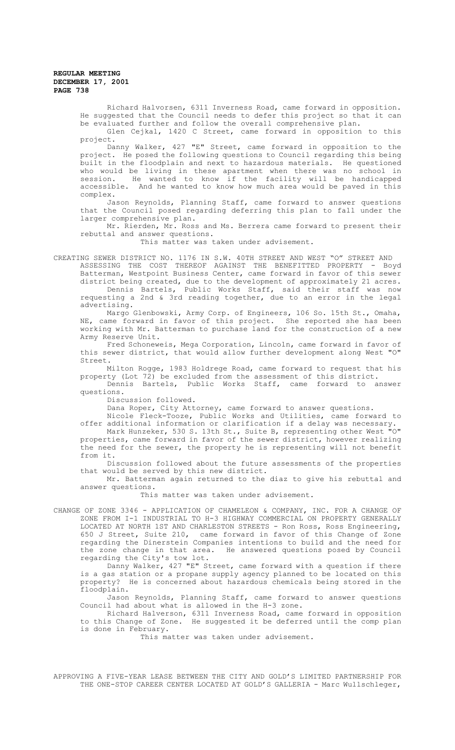Richard Halvorsen, 6311 Inverness Road, came forward in opposition. He suggested that the Council needs to defer this project so that it can be evaluated further and follow the overall comprehensive plan. Glen Cejkal, 1420 C Street, came forward in opposition to this

project. Danny Walker, 427 "E" Street, came forward in opposition to the project. He posed the following questions to Council regarding this being built in the floodplain and next to hazardous materials. He questioned who would be living in these apartment when there was no school in session. He wanted to know if the facility will be handicapped accessible. And he wanted to know how much area would be paved in this complex.

Jason Reynolds, Planning Staff, came forward to answer questions that the Council posed regarding deferring this plan to fall under the larger comprehensive plan.

Mr. Rierden, Mr. Ross and Ms. Berrera came forward to present their rebuttal and answer questions.

This matter was taken under advisement.

CREATING SEWER DISTRICT NO. 1176 IN S.W. 40TH STREET AND WEST "O" STREET AND ASSESSING THE COST THEREOF AGAINST THE BENEFITTED PROPERTY - Boyd Batterman, Westpoint Business Center, came forward in favor of this sewer district being created, due to the development of approximately 21 acres.

Dennis Bartels, Public Works Staff, said their staff was now requesting a 2nd & 3rd reading together, due to an error in the legal advertising.

Margo Glenbowski, Army Corp. of Engineers, 106 So. 15th St., Omaha, NE, came forward in favor of this project. She reported she has been working with Mr. Batterman to purchase land for the construction of a new Army Reserve Unit.

Fred Schoneweis, Mega Corporation, Lincoln, came forward in favor of this sewer district, that would allow further development along West "O" Street.

Milton Rogge, 1983 Holdrege Road, came forward to request that his property (Lot 72) be excluded from the assessment of this district.

Dennis Bartels, Public Works Staff, came forward to answer questions.

Discussion followed.

Dana Roper, City Attorney, came forward to answer questions.

Nicole Fleck-Tooze, Public Works and Utilities, came forward to offer additional information or clarification if a delay was necessary.

Mark Hunzeker, 530 S. 13th St., Suite B, representing other West "O" properties, came forward in favor of the sewer district, however realizing the need for the sewer, the property he is representing will not benefit from it.

Discussion followed about the future assessments of the properties that would be served by this new district.

Mr. Batterman again returned to the diaz to give his rebuttal and answer questions.

This matter was taken under advisement.

CHANGE OF ZONE 3346 - APPLICATION OF CHAMELEON & COMPANY, INC. FOR A CHANGE OF ZONE FROM I-1 INDUSTRIAL TO H-3 HIGHWAY COMMERCIAL ON PROPERTY GENERALLY LOCATED AT NORTH 1ST AND CHARLESTON STREETS - Ron Ross, Ross Engineering, 650 J Street, Suite 210, came forward in favor of this Change of Zone regarding the Dinerstein Companies intentions to build and the need for the zone change in that area. He answered questions posed by Council regarding the City's tow lot.

Danny Walker, 427 "E" Street, came forward with a question if there is a gas station or a propane supply agency planned to be located on this property? He is concerned about hazardous chemicals being stored in the floodplain.

Jason Reynolds, Planning Staff, came forward to answer questions Council had about what is allowed in the H-3 zone.

Richard Halverson, 6311 Inverness Road, came forward in opposition to this Change of Zone. He suggested it be deferred until the comp plan is done in February.

This matter was taken under advisement.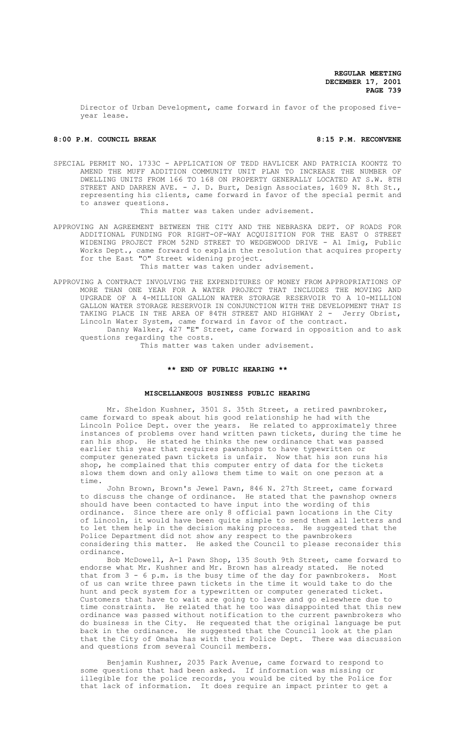Director of Urban Development, came forward in favor of the proposed fiveyear lease.

## 8:00 P.M. COUNCIL BREAK 8:00 P.M. RECONVENE

SPECIAL PERMIT NO. 1733C - APPLICATION OF TEDD HAVLICEK AND PATRICIA KOONTZ TO AMEND THE MUFF ADDITION COMMUNITY UNIT PLAN TO INCREASE THE NUMBER OF DWELLING UNITS FROM 166 TO 168 ON PROPERTY GENERALLY LOCATED AT S.W. 8TH STREET AND DARREN AVE. - J. D. Burt, Design Associates, 1609 N. 8th St., representing his clients, came forward in favor of the special permit and to answer questions.

This matter was taken under advisement.

- APPROVING AN AGREEMENT BETWEEN THE CITY AND THE NEBRASKA DEPT. OF ROADS FOR ADDITIONAL FUNDING FOR RIGHT-OF-WAY ACQUISITION FOR THE EAST O STREET WIDENING PROJECT FROM 52ND STREET TO WEDGEWOOD DRIVE - Al Imig, Public Works Dept., came forward to explain the resolution that acquires property for the East "O" Street widening project. This matter was taken under advisement.
- APPROVING A CONTRACT INVOLVING THE EXPENDITURES OF MONEY FROM APPROPRIATIONS OF MORE THAN ONE YEAR FOR A WATER PROJECT THAT INCLUDES THE MOVING AND UPGRADE OF A 4-MILLION GALLON WATER STORAGE RESERVOIR TO A 10-MILLION GALLON WATER STORAGE RESERVOIR IN CONJUNCTION WITH THE DEVELOPMENT THAT IS TAKING PLACE IN THE AREA OF 84TH STREET AND HIGHWAY 2 - Jerry Obrist, Lincoln Water System, came forward in favor of the contract.

Danny Walker, 427 "E" Street, came forward in opposition and to ask questions regarding the costs.

This matter was taken under advisement.

## **\*\* END OF PUBLIC HEARING \*\***

# **MISCELLANEOUS BUSINESS PUBLIC HEARING**

Mr. Sheldon Kushner, 3501 S. 35th Street, a retired pawnbroker, came forward to speak about his good relationship he had with the Lincoln Police Dept. over the years. He related to approximately three instances of problems over hand written pawn tickets, during the time he ran his shop. He stated he thinks the new ordinance that was passed earlier this year that requires pawnshops to have typewritten or computer generated pawn tickets is unfair. Now that his son runs his shop, he complained that this computer entry of data for the tickets slows them down and only allows them time to wait on one person at a time.

John Brown, Brown's Jewel Pawn, 846 N. 27th Street, came forward to discuss the change of ordinance. He stated that the pawnshop owners should have been contacted to have input into the wording of this ordinance. Since there are only 8 official pawn locations in the City of Lincoln, it would have been quite simple to send them all letters and to let them help in the decision making process. He suggested that the Police Department did not show any respect to the pawnbrokers considering this matter. He asked the Council to please reconsider this ordinance.

Bob McDowell, A-1 Pawn Shop, 135 South 9th Street, came forward to endorse what Mr. Kushner and Mr. Brown has already stated. He noted that from 3 - 6 p.m. is the busy time of the day for pawnbrokers. Most of us can write three pawn tickets in the time it would take to do the hunt and peck system for a typewritten or computer generated ticket. Customers that have to wait are going to leave and go elsewhere due to time constraints. He related that he too was disappointed that this new ordinance was passed without notification to the current pawnbrokers who do business in the City. He requested that the original language be put back in the ordinance. He suggested that the Council look at the plan that the City of Omaha has with their Police Dept. There was discussion and questions from several Council members.

Benjamin Kushner, 2035 Park Avenue, came forward to respond to some questions that had been asked. If information was missing or illegible for the police records, you would be cited by the Police for that lack of information. It does require an impact printer to get a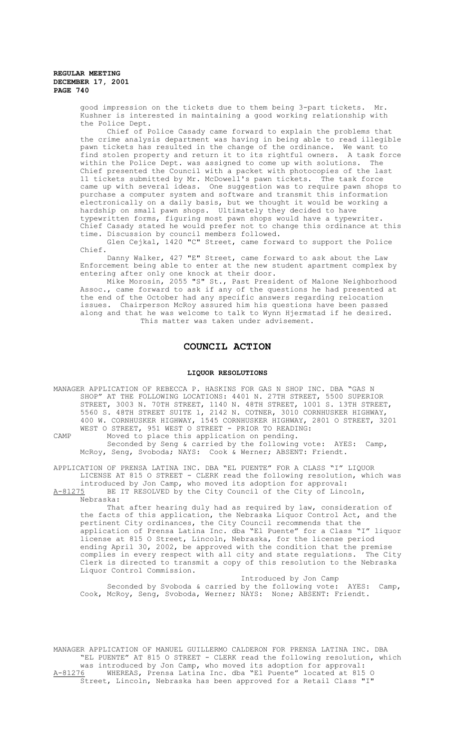good impression on the tickets due to them being 3-part tickets. Mr. Kushner is interested in maintaining a good working relationship with the Police Dept.

Chief of Police Casady came forward to explain the problems that the crime analysis department was having in being able to read illegible pawn tickets has resulted in the change of the ordinance. We want to<br>find stolen property and return it to its rightful owners. A task force find stolen property and return it to its rightful owners. within the Police Dept. was assigned to come up with solutions. The Chief presented the Council with a packet with photocopies of the last 11 tickets submitted by Mr. McDowell's pawn tickets. The task force came up with several ideas. One suggestion was to require pawn shops to purchase a computer system and software and transmit this information electronically on a daily basis, but we thought it would be working a hardship on small pawn shops. Ultimately they decided to have typewritten forms, figuring most pawn shops would have a typewriter. Chief Casady stated he would prefer not to change this ordinance at this time. Discussion by council members followed.

Glen Cejkal, 1420 "C" Street, came forward to support the Police Chief.

Danny Walker, 427 "E" Street, came forward to ask about the Law Enforcement being able to enter at the new student apartment complex by entering after only one knock at their door.

Mike Morosin, 2055 "S" St., Past President of Malone Neighborhood Assoc., came forward to ask if any of the questions he had presented at the end of the October had any specific answers regarding relocation issues. Chairperson McRoy assured him his questions have been passed along and that he was welcome to talk to Wynn Hjermstad if he desired. This matter was taken under advisement.

# **COUNCIL ACTION**

## **LIQUOR RESOLUTIONS**

MANAGER APPLICATION OF REBECCA P. HASKINS FOR GAS N SHOP INC. DBA "GAS N SHOP" AT THE FOLLOWING LOCATIONS: 4401 N. 27TH STREET, 5500 SUPERIOR STREET, 3003 N. 70TH STREET, 1140 N. 48TH STREET, 1001 S. 13TH STREET, 5560 S. 48TH STREET SUITE 1, 2142 N. COTNER, 3010 CORNHUSKER HIGHWAY, 400 W. CORNHUSKER HIGHWAY, 1545 CORNHUSKER HIGHWAY, 2801 O STREET, 3201 WEST O STREET, 951 WEST O STREET - PRIOR TO READING:

CAMP Moved to place this application on pending. Seconded by Seng & carried by the following vote: AYES: Camp, McRoy, Seng, Svoboda; NAYS: Cook & Werner; ABSENT: Friendt.

APPLICATION OF PRENSA LATINA INC. DBA "EL PUENTE" FOR A CLASS "I" LIQUOR LICENSE AT 815 O STREET - CLERK read the following resolution, which was introduced by Jon Camp, who moved its adoption for approval:<br>A-81275 BE IT RESOLVED by the City Council of the City of Linc

BE IT RESOLVED by the City Council of the City of Lincoln, Nebraska:

That after hearing duly had as required by law, consideration of the facts of this application, the Nebraska Liquor Control Act, and the pertinent City ordinances, the City Council recommends that the application of Prensa Latina Inc. dba "El Puente" for a Class "I" liquor license at 815 O Street, Lincoln, Nebraska, for the license period ending April 30, 2002, be approved with the condition that the premise<br>complies in every respect with all city and state regulations. The City complies in every respect with all city and state regulations. The City Clerk is directed to transmit a copy of this resolution to the Nebraska Liquor Control Commission.

Introduced by Jon Camp Seconded by Svoboda & carried by the following vote: AYES: Camp, Cook, McRoy, Seng, Svoboda, Werner; NAYS: None; ABSENT: Friendt.

MANAGER APPLICATION OF MANUEL GUILLERMO CALDERON FOR PRENSA LATINA INC. DBA "EL PUENTE" AT 815 O STREET - CLERK read the following resolution, which was introduced by Jon Camp, who moved its adoption for approval:<br>A-81276 WHEREAS, Prensa Latina Inc. dba "El Puente" located at 815 WHEREAS, Prensa Latina Inc. dba "El Puente" located at 815 O Street, Lincoln, Nebraska has been approved for a Retail Class "I"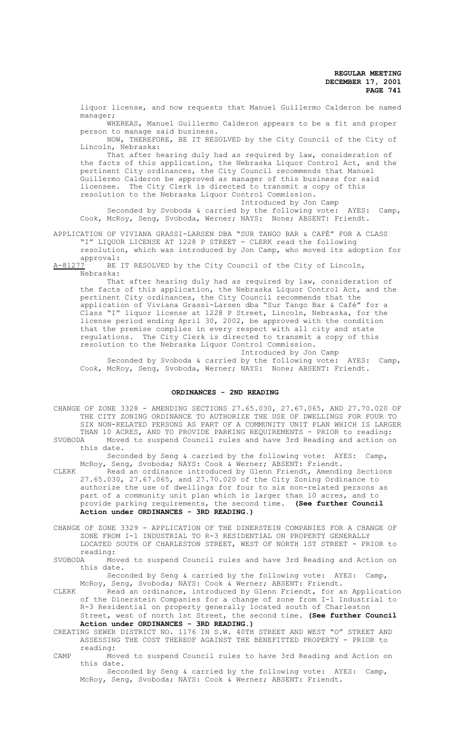liquor license, and now requests that Manuel Guillermo Calderon be named manager;

WHEREAS, Manuel Guillermo Calderon appears to be a fit and proper person to manage said business.

NOW, THEREFORE, BE IT RESOLVED by the City Council of the City of Lincoln, Nebraska:

That after hearing duly had as required by law, consideration of the facts of this application, the Nebraska Liquor Control Act, and the pertinent City ordinances, the City Council recommends that Manuel Guillermo Calderon be approved as manager of this business for said licensee. The City Clerk is directed to transmit a copy of this resolution to the Nebraska Liquor Control Commission. Introduced by Jon Camp

Seconded by Svoboda & carried by the following vote: AYES: Camp, Cook, McRoy, Seng, Svoboda, Werner; NAYS: None; ABSENT: Friendt.

APPLICATION OF VIVIANA GRASSI-LARSEN DBA "SUR TANGO BAR & CAFÉ" FOR A CLASS "I" LIQUOR LICENSE AT 1228 P STREET - CLERK read the following

resolution, which was introduced by Jon Camp, who moved its adoption for approval:<br>A-81277 BE

BE IT RESOLVED by the City Council of the City of Lincoln, Nebraska:

That after hearing duly had as required by law, consideration of the facts of this application, the Nebraska Liquor Control Act, and the pertinent City ordinances, the City Council recommends that the application of Viviana Grassi-Larsen dba "Sur Tango Bar & Café" for a Class "I" liquor license at 1228 P Street, Lincoln, Nebraska, for the license period ending April 30, 2002, be approved with the condition that the premise complies in every respect with all city and state regulations. The City Clerk is directed to transmit a copy of this resolution to the Nebraska Liquor Control Commission.

Introduced by Jon Camp

Seconded by Svoboda & carried by the following vote: AYES: Camp, Cook, McRoy, Seng, Svoboda, Werner; NAYS: None; ABSENT: Friendt.

# **ORDINANCES - 2ND READING**

CHANGE OF ZONE 3328 - AMENDING SECTIONS 27.65.030, 27.67.065, AND 27.70.020 OF THE CITY ZONING ORDINANCE TO AUTHORIZE THE USE OF DWELLINGS FOR FOUR TO SIX NON-RELATED PERSONS AS PART OF A COMMUNITY UNIT PLAN WHICH IS LARGER THAN 10 ACRES, AND TO PROVIDE PARKING REQUIREMENTS - PRIOR to reading:<br>SVOBODA Moved to suspend Council rules and have 3rd Reading and action of Moved to suspend Council rules and have 3rd Reading and action on this date.

Seconded by Seng & carried by the following vote: AYES: Camp, McRoy, Seng, Svoboda; NAYS: Cook & Werner; ABSENT: Friendt.

CLERK Read an ordinance introduced by Glenn Friendt, Amending Sections 27.65.030, 27.67.065, and 27.70.020 of the City Zoning Ordinance to authorize the use of dwellings for four to six non-related persons as part of a community unit plan which is larger than 10 acres, and to provide parking requirements, the second time. **(See further Council Action under ORDINANCES - 3RD READING.)**

CHANGE OF ZONE 3329 - APPLICATION OF THE DINERSTEIN COMPANIES FOR A CHANGE OF ZONE FROM I-1 INDUSTRIAL TO R-3 RESIDENTIAL ON PROPERTY GENERALLY LOCATED SOUTH OF CHARLESTON STREET, WEST OF NORTH 1ST STREET - PRIOR to

reading:<br>SVOBODA Mo Moved to suspend Council rules and have 3rd Reading and Action on this date.

Seconded by Seng & carried by the following vote: AYES: Camp, McRoy, Seng, Svoboda; NAYS: Cook & Werner; ABSENT: Friendt.

CLERK Read an ordinance, introduced by Glenn Friendt, for an Application of the Dinerstein Companies for a change of zone from I-1 Industrial to R-3 Residential on property generally located south of Charleston

Street, west of north 1st Street, the second time. **(See further Council Action under ORDINANCES - 3RD READING.)**

CREATING SEWER DISTRICT NO. 1176 IN S.W. 40TH STREET AND WEST "O" STREET AND ASSESSING THE COST THEREOF AGAINST THE BENEFITTED PROPERTY - PRIOR to reading:

CAMP Moved to suspend Council rules to have 3rd Reading and Action on this date.

Seconded by Seng & carried by the following vote: AYES: Camp, McRoy, Seng, Svoboda; NAYS: Cook & Werner; ABSENT: Friendt.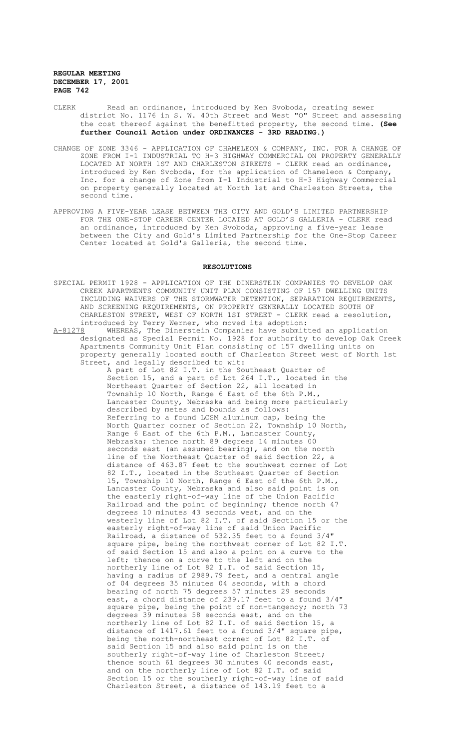- CLERK Read an ordinance, introduced by Ken Svoboda, creating sewer district No. 1176 in S. W. 40th Street and West "O" Street and assessing the cost thereof against the benefitted property, the second time. **(See further Council Action under ORDINANCES - 3RD READING.)**
- CHANGE OF ZONE 3346 APPLICATION OF CHAMELEON & COMPANY, INC. FOR A CHANGE OF ZONE FROM I-1 INDUSTRIAL TO H-3 HIGHWAY COMMERCIAL ON PROPERTY GENERALLY LOCATED AT NORTH 1ST AND CHARLESTON STREETS - CLERK read an ordinance, introduced by Ken Svoboda, for the application of Chameleon & Company, Inc. for a change of Zone from I-1 Industrial to H-3 Highway Commercial on property generally located at North 1st and Charleston Streets, the second time.
- APPROVING A FIVE-YEAR LEASE BETWEEN THE CITY AND GOLD'S LIMITED PARTNERSHIP FOR THE ONE-STOP CAREER CENTER LOCATED AT GOLD'S GALLERIA - CLERK read an ordinance, introduced by Ken Svoboda, approving a five-year lease between the City and Gold's Limited Partnership for the One-Stop Career Center located at Gold's Galleria, the second time.

# **RESOLUTIONS**

- SPECIAL PERMIT 1928 APPLICATION OF THE DINERSTEIN COMPANIES TO DEVELOP OAK CREEK APARTMENTS COMMUNITY UNIT PLAN CONSISTING OF 157 DWELLING UNITS INCLUDING WAIVERS OF THE STORMWATER DETENTION, SEPARATION REQUIREMENTS, AND SCREENING REQUIREMENTS, ON PROPERTY GENERALLY LOCATED SOUTH OF CHARLESTON STREET, WEST OF NORTH 1ST STREET - CLERK read a resolution, introduced by Terry Werner, who moved its adoption:<br>A-81278 WHEREAS, The Dinerstein Companies have submit
- WHEREAS, The Dinerstein Companies have submitted an application designated as Special Permit No. 1928 for authority to develop Oak Creek Apartments Community Unit Plan consisting of 157 dwelling units on property generally located south of Charleston Street west of North 1st Street, and legally described to wit:

A part of Lot 82 I.T. in the Southeast Quarter of Section 15, and a part of Lot 264 I.T., located in the Northeast Quarter of Section 22, all located in Township 10 North, Range 6 East of the 6th P.M., Lancaster County, Nebraska and being more particularly described by metes and bounds as follows: Referring to a found LCSM aluminum cap, being the North Quarter corner of Section 22, Township 10 North, Range  $\overline{6}$  East of the 6th P.M., Lancaster County, Nebraska; thence north 89 degrees 14 minutes 00 seconds east (an assumed bearing), and on the north line of the Northeast Quarter of said Section 22, a distance of 463.87 feet to the southwest corner of Lot 82 I.T., located in the Southeast Quarter of Section 15, Township 10 North, Range 6 East of the 6th P.M., Lancaster County, Nebraska and also said point is on the easterly right-of-way line of the Union Pacific Railroad and the point of beginning; thence north 47 degrees 10 minutes 43 seconds west, and on the westerly line of Lot 82 I.T. of said Section 15 or the easterly right-of-way line of said Union Pacific Railroad, a distance of 532.35 feet to a found 3/4" square pipe, being the northwest corner of Lot 82 I.T. of said Section 15 and also a point on a curve to the left; thence on a curve to the left and on the northerly line of Lot 82 I.T. of said Section 15, having a radius of 2989.79 feet, and a central angle of 04 degrees 35 minutes 04 seconds, with a chord bearing of north 75 degrees 57 minutes 29 seconds east, a chord distance of 239.17 feet to a found 3/4" square pipe, being the point of non-tangency; north 73 degrees 39 minutes 58 seconds east, and on the northerly line of Lot 82 I.T. of said Section 15, a distance of 1417.61 feet to a found 3/4" square pipe, being the north-northeast corner of Lot 82 I.T. of said Section 15 and also said point is on the southerly right-of-way line of Charleston Street; thence south 61 degrees 30 minutes 40 seconds east, and on the northerly line of Lot 82 I.T. of said Section 15 or the southerly right-of-way line of said Charleston Street, a distance of 143.19 feet to a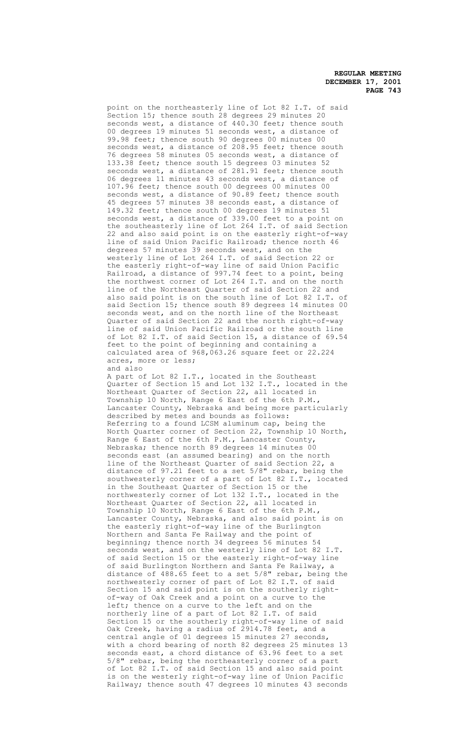point on the northeasterly line of Lot 82 I.T. of said Section 15; thence south 28 degrees 29 minutes 20 seconds west, a distance of 440.30 feet; thence south 00 degrees 19 minutes 51 seconds west, a distance of 99.98 feet; thence south 90 degrees 00 minutes 00 seconds west, a distance of 208.95 feet; thence south 76 degrees 58 minutes 05 seconds west, a distance of 133.38 feet; thence south 15 degrees 03 minutes 52 seconds west, a distance of 281.91 feet; thence south 06 degrees 11 minutes 43 seconds west, a distance of 107.96 feet; thence south 00 degrees 00 minutes 00 seconds west, a distance of 90.89 feet; thence south 45 degrees 57 minutes 38 seconds east, a distance of 149.32 feet; thence south 00 degrees 19 minutes 51 seconds west, a distance of 339.00 feet to a point on the southeasterly line of Lot 264 I.T. of said Section 22 and also said point is on the easterly right-of-way line of said Union Pacific Railroad; thence north 46 degrees 57 minutes 39 seconds west, and on the westerly line of Lot 264 I.T. of said Section 22 or the easterly right-of-way line of said Union Pacific Railroad, a distance of 997.74 feet to a point, being the northwest corner of Lot 264 I.T. and on the north line of the Northeast Quarter of said Section 22 and also said point is on the south line of Lot 82 I.T. of said Section 15; thence south 89 degrees 14 minutes 00 seconds west, and on the north line of the Northeast Quarter of said Section 22 and the north right-of-way line of said Union Pacific Railroad or the south line of Lot 82 I.T. of said Section 15, a distance of 69.54 feet to the point of beginning and containing a calculated area of 968,063.26 square feet or 22.224 acres, more or less; and also

A part of Lot 82 I.T., located in the Southeast Quarter of Section 15 and Lot 132 I.T., located in the Northeast Quarter of Section 22, all located in Township 10 North, Range 6 East of the 6th P.M., Lancaster County, Nebraska and being more particularly described by metes and bounds as follows: Referring to a found LCSM aluminum cap, being the North Quarter corner of Section 22, Township 10 North, Range 6 East of the 6th P.M., Lancaster County, Nebraska; thence north 89 degrees 14 minutes 00 seconds east (an assumed bearing) and on the north line of the Northeast Quarter of said Section 22, a distance of 97.21 feet to a set 5/8" rebar, being the southwesterly corner of a part of Lot 82 I.T., located in the Southeast Quarter of Section 15 or the northwesterly corner of Lot 132 I.T., located in the Northeast Quarter of Section 22, all located in Township 10 North, Range 6 East of the 6th P.M., Lancaster County, Nebraska, and also said point is on the easterly right-of-way line of the Burlington Northern and Santa Fe Railway and the point of beginning; thence north 34 degrees 56 minutes 54 seconds west, and on the westerly line of Lot 82 I.T. of said Section 15 or the easterly right-of-way line of said Burlington Northern and Santa Fe Railway, a distance of 488.65 feet to a set 5/8" rebar, being the northwesterly corner of part of Lot 82 I.T. of said Section 15 and said point is on the southerly rightof-way of Oak Creek and a point on a curve to the left; thence on a curve to the left and on the northerly line of a part of Lot 82 I.T. of said Section 15 or the southerly right-of-way line of said Oak Creek, having a radius of 2914.78 feet, and a central angle of 01 degrees 15 minutes 27 seconds, with a chord bearing of north 82 degrees 25 minutes 13 seconds east, a chord distance of 63.96 feet to a set 5/8" rebar, being the northeasterly corner of a part of Lot 82 I.T. of said Section 15 and also said point is on the westerly right-of-way line of Union Pacific Railway; thence south 47 degrees 10 minutes 43 seconds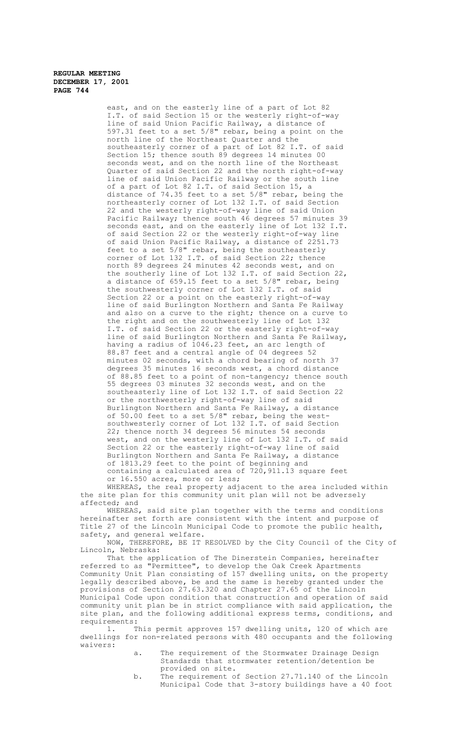> east, and on the easterly line of a part of Lot 82 I.T. of said Section 15 or the westerly right-of-way line of said Union Pacific Railway, a distance of 597.31 feet to a set 5/8" rebar, being a point on the north line of the Northeast Quarter and the southeasterly corner of a part of Lot 82 I.T. of said Section 15; thence south 89 degrees 14 minutes 00 seconds west, and on the north line of the Northeast Quarter of said Section 22 and the north right-of-way line of said Union Pacific Railway or the south line of a part of Lot 82 I.T. of said Section 15, a distance of 74.35 feet to a set 5/8" rebar, being the northeasterly corner of Lot 132 I.T. of said Section 22 and the westerly right-of-way line of said Union Pacific Railway; thence south 46 degrees 57 minutes 39 seconds east, and on the easterly line of Lot 132 I.T. of said Section 22 or the westerly right-of-way line of said Union Pacific Railway, a distance of 2251.73 feet to a set 5/8" rebar, being the southeasterly corner of Lot 132 I.T. of said Section 22; thence north 89 degrees 24 minutes 42 seconds west, and on the southerly line of Lot 132 I.T. of said Section 22, a distance of 659.15 feet to a set 5/8" rebar, being the southwesterly corner of Lot 132 I.T. of said Section 22 or a point on the easterly right-of-way line of said Burlington Northern and Santa Fe Railway and also on a curve to the right; thence on a curve to the right and on the southwesterly line of Lot 132 I.T. of said Section 22 or the easterly right-of-way line of said Burlington Northern and Santa Fe Railway, having a radius of 1046.23 feet, an arc length of 88.87 feet and a central angle of 04 degrees 52 minutes 02 seconds, with a chord bearing of north 37 degrees 35 minutes 16 seconds west, a chord distance of 88.85 feet to a point of non-tangency; thence south 55 degrees 03 minutes 32 seconds west, and on the southeasterly line of Lot 132 I.T. of said Section 22 or the northwesterly right-of-way line of said Burlington Northern and Santa Fe Railway, a distance of 50.00 feet to a set 5/8" rebar, being the westsouthwesterly corner of Lot 132 I.T. of said Section 22; thence north 34 degrees 56 minutes 54 seconds west, and on the westerly line of Lot 132 I.T. of said Section 22 or the easterly right-of-way line of said Burlington Northern and Santa Fe Railway, a distance of 1813.29 feet to the point of beginning and containing a calculated area of 720,911.13 square feet or 16.550 acres, more or less;

WHEREAS, the real property adjacent to the area included within the site plan for this community unit plan will not be adversely affected; and

WHEREAS, said site plan together with the terms and conditions hereinafter set forth are consistent with the intent and purpose of Title 27 of the Lincoln Municipal Code to promote the public health, safety, and general welfare.

NOW, THEREFORE, BE IT RESOLVED by the City Council of the City of Lincoln, Nebraska:

That the application of The Dinerstein Companies, hereinafter referred to as "Permittee", to develop the Oak Creek Apartments Community Unit Plan consisting of 157 dwelling units, on the property legally described above, be and the same is hereby granted under the provisions of Section 27.63.320 and Chapter 27.65 of the Lincoln Municipal Code upon condition that construction and operation of said community unit plan be in strict compliance with said application, the site plan, and the following additional express terms, conditions, and requirements:

1. This permit approves 157 dwelling units, 120 of which are dwellings for non-related persons with 480 occupants and the following waivers:

- a. The requirement of the Stormwater Drainage Design Standards that stormwater retention/detention be provided on site.
- b. The requirement of Section 27.71.140 of the Lincoln Municipal Code that 3-story buildings have a 40 foot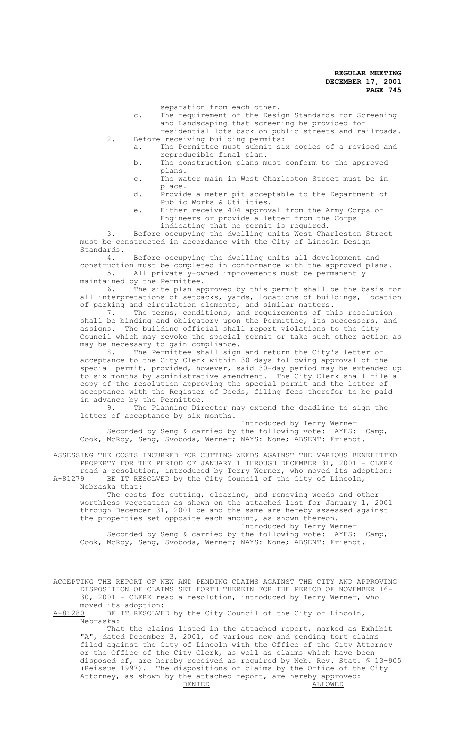separation from each other.

- c. The requirement of the Design Standards for Screening and Landscaping that screening be provided for residential lots back on public streets and railroads.
- 2. Before receiving building permits: a. The Permittee must submit six copies of a revised and
	- reproducible final plan. b. The construction plans must conform to the approved
	- plans. c. The water main in West Charleston Street must be in
	- place. d. Provide a meter pit acceptable to the Department of Public Works & Utilities.
	- e. Either receive 404 approval from the Army Corps of Engineers or provide a letter from the Corps indicating that no permit is required.

3. Before occupying the dwelling units West Charleston Street must be constructed in accordance with the City of Lincoln Design Standards.<br>4.

Before occupying the dwelling units all development and construction must be completed in conformance with the approved plans. 5. All privately-owned improvements must be permanently

maintained by the Permittee.

6. The site plan approved by this permit shall be the basis for all interpretations of setbacks, yards, locations of buildings, location of parking and circulation elements, and similar matters.<br>7. The terms, conditions, and requirements of th

The terms, conditions, and requirements of this resolution shall be binding and obligatory upon the Permittee, its successors, and assigns. The building official shall report violations to the City Council which may revoke the special permit or take such other action as may be necessary to gain compliance.

8. The Permittee shall sign and return the City's letter of acceptance to the City Clerk within 30 days following approval of the special permit, provided, however, said 30-day period may be extended up to six months by administrative amendment. The City Clerk shall file a copy of the resolution approving the special permit and the letter of acceptance with the Register of Deeds, filing fees therefor to be paid in advance by the Permittee.<br>9. The Planning Dir

The Planning Director may extend the deadline to sign the letter of acceptance by six months.

Introduced by Terry Werner Seconded by Seng & carried by the following vote: AYES: Camp, Cook, McRoy, Seng, Svoboda, Werner; NAYS: None; ABSENT: Friendt.

ASSESSING THE COSTS INCURRED FOR CUTTING WEEDS AGAINST THE VARIOUS BENEFITTED PROPERTY FOR THE PERIOD OF JANUARY 1 THROUGH DECEMBER 31, 2001 - CLERK read a resolution, introduced by Terry Werner, who moved its adoption: A-81279 BE IT RESOLVED by the City Council of the City of Lincoln,

Nebraska that:

The costs for cutting, clearing, and removing weeds and other worthless vegetation as shown on the attached list for January 1, 2001 through December 31, 2001 be and the same are hereby assessed against the properties set opposite each amount, as shown thereon.

Introduced by Terry Werner Seconded by Seng & carried by the following vote: AYES: Camp, Cook, McRoy, Seng, Svoboda, Werner; NAYS: None; ABSENT: Friendt.

ACCEPTING THE REPORT OF NEW AND PENDING CLAIMS AGAINST THE CITY AND APPROVING DISPOSITION OF CLAIMS SET FORTH THEREIN FOR THE PERIOD OF NOVEMBER 16- 30, 2001 - CLERK read a resolution, introduced by Terry Werner, who moved its adoption:

A-81280 BE IT RESOLVED by the City Council of the City of Lincoln, Nebraska:

That the claims listed in the attached report, marked as Exhibit "A", dated December 3, 2001, of various new and pending tort claims filed against the City of Lincoln with the Office of the City Attorney or the Office of the City Clerk, as well as claims which have been disposed of, are hereby received as required by <u>Neb. Rev. Stat.</u> § 13-905 (Reissue 1997). The dispositions of claims by the Office of the City Attorney, as shown by the attached report, are hereby approved:<br>DENIED ALLOWED DENIED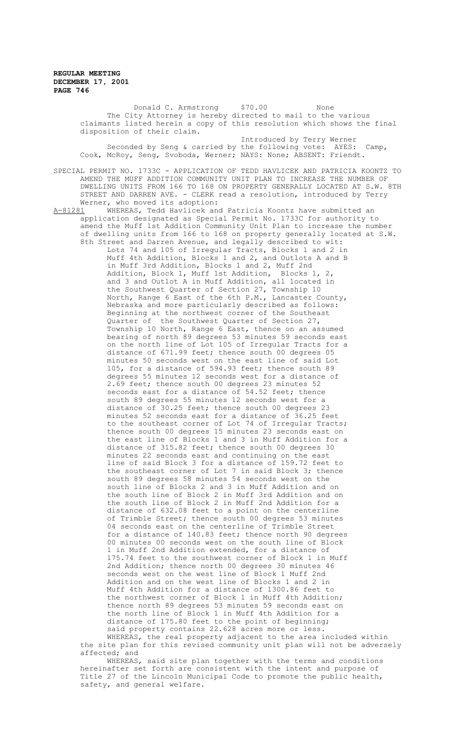Donald C. Armstrong \$70.00 None The City Attorney is hereby directed to mail to the various claimants listed herein a copy of this resolution which shows the final disposition of their claim. Introduced by Terry Werner Seconded by Seng & carried by the following vote: AYES: Camp, Cook, McRoy, Seng, Svoboda, Werner; NAYS: None; ABSENT: Friendt. SPECIAL PERMIT NO. 1733C - APPLICATION OF TEDD HAVLICEK AND PATRICIA KOONTZ TO AMEND THE MUFF ADDITION COMMUNITY UNIT PLAN TO INCREASE THE NUMBER OF DWELLING UNITS FROM 166 TO 168 ON PROPERTY GENERALLY LOCATED AT S.W. 8TH STREET AND DARREN AVE. - CLERK read a resolution, introduced by Terry Werner, who moved its adoption:<br>A-81281 WHEREAS, Tedd Havlicek and WHEREAS, Tedd Havlicek and Patricia Koontz have submitted an application designated as Special Permit No. 1733C for authority to amend the Muff 1st Addition Community Unit Plan to increase the number of dwelling units from 166 to 168 on property generally located at S.W. 8th Street and Darren Avenue, and legally described to wit: Lots 74 and 105 of Irregular Tracts, Blocks 1 and 2 in Muff 4th Addition, Blocks 1 and 2, and Outlots A and B in Muff 3rd Addition, Blocks 1 and 2, Muff 2nd Addition, Block 1, Muff 1st Addition, Blocks 1, 2, and 3 and Outlot A in Muff Addition, all located in the Southwest Quarter of Section 27, Township 10 North, Range 6 East of the 6th P.M., Lancaster County, Nebraska and more particularly described as follows: Beginning at the northwest corner of the Southeast Quarter of the Southwest Quarter of Section 27, Township 10 North, Range 6 East, thence on an assumed bearing of north 89 degrees 53 minutes 59 seconds east on the north line of Lot 105 of Irregular Tracts for a distance of 671.99 feet; thence south 00 degrees 05 minutes 50 seconds west on the east line of said Lot 105, for a distance of 594.93 feet; thence south 89 degrees 55 minutes 12 seconds west for a distance of 2.69 feet; thence south 00 degrees 23 minutes 52 seconds east for a distance of 54.52 feet; thence south 89 degrees 55 minutes 12 seconds west for a distance of 30.25 feet; thence south 00 degrees 23 minutes 52 seconds east for a distance of 36.25 feet to the southeast corner of Lot 74 of Irregular Tracts; thence south 00 degrees 15 minutes 23 seconds east on the east line of Blocks 1 and 3 in Muff Addition for a distance of 315.82 feet; thence south 00 degrees 30 minutes 22 seconds east and continuing on the east line of said Block 3 for a distance of 159.72 feet to the southeast corner of Lot 7 in said Block 3; thence south 89 degrees 58 minutes 54 seconds west on the south line of Blocks 2 and 3 in Muff Addition and on the south line of Block 2 in Muff 3rd Addition and on the south line of Block 2 in Muff 2nd Addition for a distance of 632.08 feet to a point on the centerline of Trimble Street; thence south 00 degrees 53 minutes 04 seconds east on the centerline of Trimble Street for a distance of 140.83 feet; thence north 90 degrees 00 minutes 00 seconds west on the south line of Block in Muff 2nd Addition extended, for a distance of 175.74 feet to the southwest corner of Block 1 in Muff 2nd Addition; thence north 00 degrees 30 minutes 46 seconds west on the west line of Block 1 Muff 2nd Addition and on the west line of Blocks 1 and 2 in Muff 4th Addition for a distance of 1300.86 feet to the northwest corner of Block 1 in Muff 4th Addition; thence north 89 degrees 53 minutes 59 seconds east on the north line of Block 1 in Muff 4th Addition for a distance of 175.80 feet to the point of beginning; said property contains 22.628 acres more or less. WHEREAS, the real property adjacent to the area included within the site plan for this revised community unit plan will not be adversely

affected; and WHEREAS, said site plan together with the terms and conditions

hereinafter set forth are consistent with the intent and purpose of Title 27 of the Lincoln Municipal Code to promote the public health, safety, and general welfare.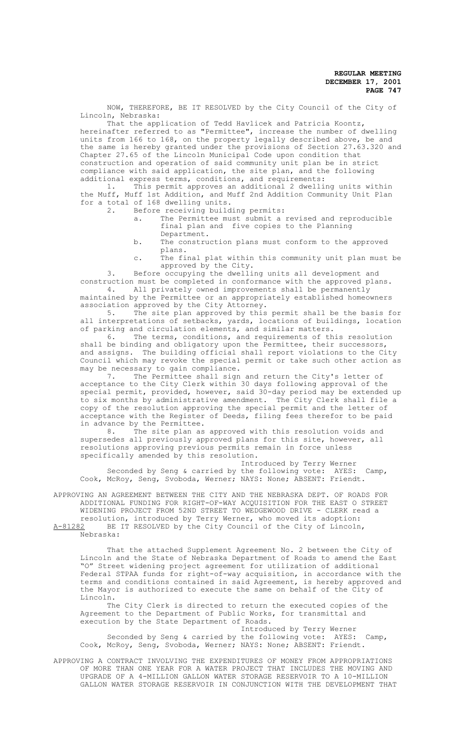NOW, THEREFORE, BE IT RESOLVED by the City Council of the City of Lincoln, Nebraska:

That the application of Tedd Havlicek and Patricia Koontz, hereinafter referred to as "Permittee", increase the number of dwelling units from 166 to 168, on the property legally described above, be and the same is hereby granted under the provisions of Section 27.63.320 and Chapter 27.65 of the Lincoln Municipal Code upon condition that construction and operation of said community unit plan be in strict compliance with said application, the site plan, and the following

additional express terms, conditions, and requirements:<br>1. This permit approves an additional 2 dwelling This permit approves an additional 2 dwelling units within the Muff, Muff 1st Addition, and Muff 2nd Addition Community Unit Plan for a total of 168 dwelling units.

- Before receiving building permits:
	- a. The Permittee must submit a revised and reproducible final plan and five copies to the Planning Department.
	- b. The construction plans must conform to the approved plans.
	- c. The final plat within this community unit plan must be approved by the City.

3. Before occupying the dwelling units all development and construction must be completed in conformance with the approved plans.

4. All privately owned improvements shall be permanently maintained by the Permittee or an appropriately established homeowners association approved by the City Attorney.

5. The site plan approved by this permit shall be the basis for all interpretations of setbacks, yards, locations of buildings, location of parking and circulation elements, and similar matters.

6. The terms, conditions, and requirements of this resolution shall be binding and obligatory upon the Permittee, their successors, and assigns. The building official shall report violations to the City Council which may revoke the special permit or take such other action as may be necessary to gain compliance.

7. The Permittee shall sign and return the City's letter of acceptance to the City Clerk within 30 days following approval of the special permit, provided, however, said 30-day period may be extended up to six months by administrative amendment. The City Clerk shall file a copy of the resolution approving the special permit and the letter of acceptance with the Register of Deeds, filing fees therefor to be paid

in advance by the Permittee.<br>8. The site plan as The site plan as approved with this resolution voids and supersedes all previously approved plans for this site, however, all resolutions approving previous permits remain in force unless specifically amended by this resolution.

Introduced by Terry Werner Seconded by Seng & carried by the following vote: AYES: Camp, Cook, McRoy, Seng, Svoboda, Werner; NAYS: None; ABSENT: Friendt.

APPROVING AN AGREEMENT BETWEEN THE CITY AND THE NEBRASKA DEPT. OF ROADS FOR ADDITIONAL FUNDING FOR RIGHT-OF-WAY ACQUISITION FOR THE EAST O STREET WIDENING PROJECT FROM 52ND STREET TO WEDGEWOOD DRIVE - CLERK read a

resolution, introduced by Terry Werner, who moved its adoption: A-81282 BE IT RESOLVED by the City Council of the City of Lincoln, Nebraska:

That the attached Supplement Agreement No. 2 between the City of Lincoln and the State of Nebraska Department of Roads to amend the East "O" Street widening project agreement for utilization of additional Federal STPAA funds for right-of-way acquisition, in accordance with the terms and conditions contained in said Agreement, is hereby approved and the Mayor is authorized to execute the same on behalf of the City of Lincoln.

The City Clerk is directed to return the executed copies of the Agreement to the Department of Public Works, for transmittal and execution by the State Department of Roads.

Introduced by Terry Werner

Seconded by Seng & carried by the following vote: AYES: Camp, Cook, McRoy, Seng, Svoboda, Werner; NAYS: None; ABSENT: Friendt.

APPROVING A CONTRACT INVOLVING THE EXPENDITURES OF MONEY FROM APPROPRIATIONS OF MORE THAN ONE YEAR FOR A WATER PROJECT THAT INCLUDES THE MOVING AND UPGRADE OF A 4-MILLION GALLON WATER STORAGE RESERVOIR TO A 10-MILLION GALLON WATER STORAGE RESERVOIR IN CONJUNCTION WITH THE DEVELOPMENT THAT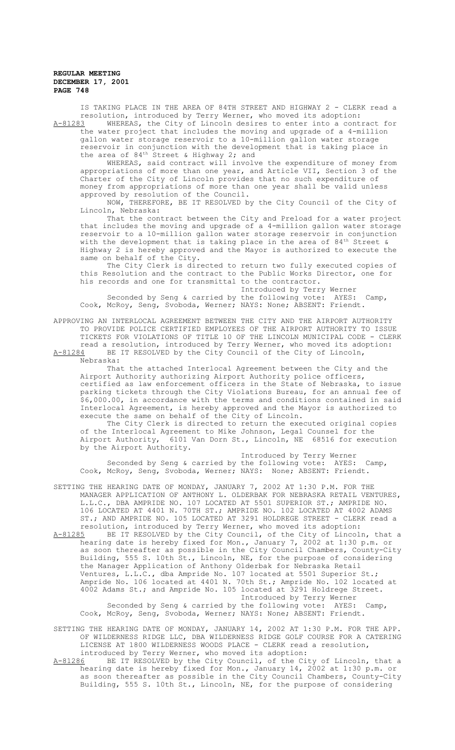IS TAKING PLACE IN THE AREA OF 84TH STREET AND HIGHWAY 2 - CLERK read a resolution, introduced by Terry Werner, who moved its adoption: A-81283 MHEREAS, the City of Lincoln desires to enter into a contract for

the water project that includes the moving and upgrade of a 4-million gallon water storage reservoir to a 10-million gallon water storage reservoir in conjunction with the development that is taking place in the area of  $84<sup>th</sup>$  Street & Highway 2; and

WHEREAS, said contract will involve the expenditure of money from appropriations of more than one year, and Article VII, Section 3 of the Charter of the City of Lincoln provides that no such expenditure of money from appropriations of more than one year shall be valid unless approved by resolution of the Council.

NOW, THEREFORE, BE IT RESOLVED by the City Council of the City of Lincoln, Nebraska:

That the contract between the City and Preload for a water project that includes the moving and upgrade of a 4-million gallon water storage reservoir to a 10-million gallon water storage reservoir in conjunction with the development that is taking place in the area of  $84<sup>th</sup>$  Street & Highway 2 is hereby approved and the Mayor is authorized to execute the same on behalf of the City.

The City Clerk is directed to return two fully executed copies of this Resolution and the contract to the Public Works Director, one for his records and one for transmittal to the contractor.

Introduced by Terry Werner Seconded by Seng & carried by the following vote: AYES: Camp, Cook, McRoy, Seng, Svoboda, Werner; NAYS: None; ABSENT: Friendt.

APPROVING AN INTERLOCAL AGREEMENT BETWEEN THE CITY AND THE AIRPORT AUTHORITY TO PROVIDE POLICE CERTIFIED EMPLOYEES OF THE AIRPORT AUTHORITY TO ISSUE TICKETS FOR VIOLATIONS OF TITLE 10 OF THE LINCOLN MUNICIPAL CODE - CLERK read a resolution, introduced by Terry Werner, who moved its adoption: A-81284 BE IT RESOLVED by the City Council of the City of Lincoln,

Nebraska:

That the attached Interlocal Agreement between the City and the Airport Authority authorizing Airport Authority police officers, certified as law enforcement officers in the State of Nebraska, to issue parking tickets through the City Violations Bureau, for an annual fee of \$6,000.00, in accordance with the terms and conditions contained in said Interlocal Agreement, is hereby approved and the Mayor is authorized to execute the same on behalf of the City of Lincoln.

The City Clerk is directed to return the executed original copies of the Interlocal Agreement to Mike Johnson, Legal Counsel for the<br>Airport Authority, 6101 Van Dorn St., Lincoln, NE 68516 for exect 6101 Van Dorn St., Lincoln, NE 68516 for execution by the Airport Authority.

Introduced by Terry Werner Seconded by Seng & carried by the following vote: AYES: Camp, Cook, McRoy, Seng, Svoboda, Werner; NAYS: None; ABSENT: Friendt.

SETTING THE HEARING DATE OF MONDAY, JANUARY 7, 2002 AT 1:30 P.M. FOR THE MANAGER APPLICATION OF ANTHONY L. OLDERBAK FOR NEBRASKA RETAIL VENTURES, L.L.C., DBA AMPRIDE NO. 107 LOCATED AT 5501 SUPERIOR ST.; AMPRIDE NO. 106 LOCATED AT 4401 N. 70TH ST.; AMPRIDE NO. 102 LOCATED AT 4002 ADAMS ST.; AND AMPRIDE NO. 105 LOCATED AT 3291 HOLDREGE STREET - CLERK read a resolution, introduced by Terry Werner, who moved its adoption:

A-81285 BE IT RESOLVED by the City Council, of the City of Lincoln, that a hearing date is hereby fixed for Mon., January 7, 2002 at 1:30 p.m. or as soon thereafter as possible in the City Council Chambers, County-City Building, 555 S. 10th St., Lincoln, NE, for the purpose of considering the Manager Application of Anthony Olderbak for Nebraska Retail Ventures, L.L.C., dba Ampride No. 107 located at 5501 Superior St.; Ampride No. 106 located at 4401 N. 70th St.; Ampride No. 102 located at 4002 Adams St.; and Ampride No. 105 located at 3291 Holdrege Street. Introduced by Terry Werner

Seconded by Seng & carried by the following vote: AYES: Camp, Cook, McRoy, Seng, Svoboda, Werner; NAYS: None; ABSENT: Friendt.

SETTING THE HEARING DATE OF MONDAY, JANUARY 14, 2002 AT 1:30 P.M. FOR THE APP. OF WILDERNESS RIDGE LLC, DBA WILDERNESS RIDGE GOLF COURSE FOR A CATERING LICENSE AT 1800 WILDERNESS WOODS PLACE - CLERK read a resolution, introduced by Terry Werner, who moved its adoption:

A-81286 BE IT RESOLVED by the City Council, of the City of Lincoln, that a hearing date is hereby fixed for Mon., January 14, 2002 at 1:30 p.m. or as soon thereafter as possible in the City Council Chambers, County-City Building, 555 S. 10th St., Lincoln, NE, for the purpose of considering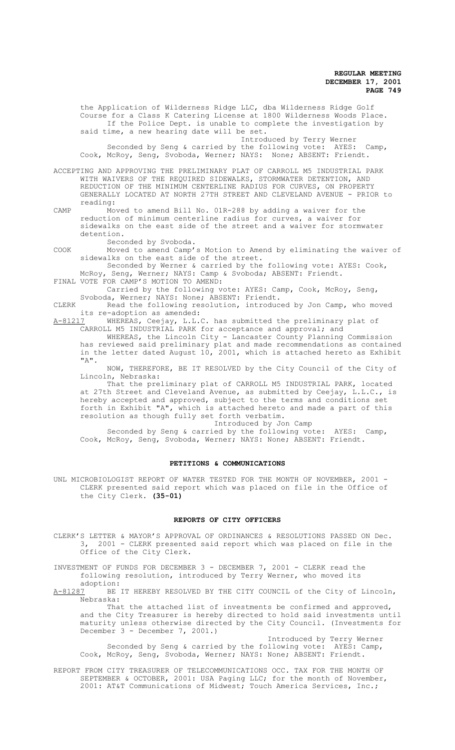said time, a new hearing date will be set. Introduced by Terry Werner Seconded by Seng & carried by the following vote: AYES: Camp, Cook, McRoy, Seng, Svoboda, Werner; NAYS: None; ABSENT: Friendt. ACCEPTING AND APPROVING THE PRELIMINARY PLAT OF CARROLL M5 INDUSTRIAL PARK WITH WAIVERS OF THE REQUIRED SIDEWALKS, STORMWATER DETENTION, AND REDUCTION OF THE MINIMUM CENTERLINE RADIUS FOR CURVES, ON PROPERTY GENERALLY LOCATED AT NORTH 27TH STREET AND CLEVELAND AVENUE - PRIOR to reading: CAMP Moved to amend Bill No. 01R-288 by adding a waiver for the reduction of minimum centerline radius for curves, a waiver for sidewalks on the east side of the street and a waiver for stormwater detention. Seconded by Svoboda. COOK Moved to amend Camp's Motion to Amend by eliminating the waiver of sidewalks on the east side of the street. Seconded by Werner & carried by the following vote: AYES: Cook, McRoy, Seng, Werner; NAYS: Camp & Svoboda; ABSENT: Friendt. FINAL VOTE FOR CAMP'S MOTION TO AMEND: Carried by the following vote: AYES: Camp, Cook, McRoy, Seng, Svoboda, Werner; NAYS: None; ABSENT: Friendt. CLERK Read the following resolution, introduced by Jon Camp, who moved its re-adoption as amended:<br>A-81217 WHEREAS, Ceejav, L.L. A-81217 WHEREAS, Ceejay, L.L.C. has submitted the preliminary plat of CARROLL M5 INDUSTRIAL PARK for acceptance and approval; and WHEREAS, the Lincoln City - Lancaster County Planning Commission

the Application of Wilderness Ridge LLC, dba Wilderness Ridge Golf Course for a Class K Catering License at 1800 Wilderness Woods Place. If the Police Dept. is unable to complete the investigation by

has reviewed said preliminary plat and made recommendations as contained in the letter dated August 10, 2001, which is attached hereto as Exhibit "A".

NOW, THEREFORE, BE IT RESOLVED by the City Council of the City of Lincoln, Nebraska:

That the preliminary plat of CARROLL M5 INDUSTRIAL PARK, located at 27th Street and Cleveland Avenue, as submitted by Ceejay, L.L.C., is hereby accepted and approved, subject to the terms and conditions set forth in Exhibit "A", which is attached hereto and made a part of this resolution as though fully set forth verbatim.

Introduced by Jon Camp

Seconded by Seng & carried by the following vote: AYES: Camp, Cook, McRoy, Seng, Svoboda, Werner; NAYS: None; ABSENT: Friendt.

## **PETITIONS & COMMUNICATIONS**

UNL MICROBIOLOGIST REPORT OF WATER TESTED FOR THE MONTH OF NOVEMBER, 2001 -CLERK presented said report which was placed on file in the Office of the City Clerk. **(35-01)**

## **REPORTS OF CITY OFFICERS**

CLERK'S LETTER & MAYOR'S APPROVAL OF ORDINANCES & RESOLUTIONS PASSED ON Dec. 3, 2001 - CLERK presented said report which was placed on file in the Office of the City Clerk.

INVESTMENT OF FUNDS FOR DECEMBER 3 - DECEMBER 7, 2001 - CLERK read the following resolution, introduced by Terry Werner, who moved its

adoption:<br>A-81287 BE BE IT HEREBY RESOLVED BY THE CITY COUNCIL of the City of Lincoln, Nebraska:

That the attached list of investments be confirmed and approved, and the City Treasurer is hereby directed to hold said investments until maturity unless otherwise directed by the City Council. (Investments for December 3 - December 7, 2001.)

Introduced by Terry Werner Seconded by Seng & carried by the following vote: AYES: Camp, Cook, McRoy, Seng, Svoboda, Werner; NAYS: None; ABSENT: Friendt.

REPORT FROM CITY TREASURER OF TELECOMMUNICATIONS OCC. TAX FOR THE MONTH OF SEPTEMBER & OCTOBER, 2001: USA Paging LLC; for the month of November, 2001: AT&T Communications of Midwest; Touch America Services, Inc.;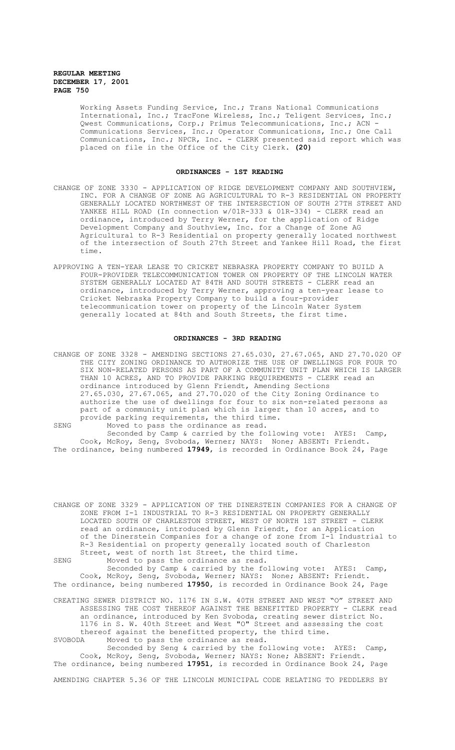Working Assets Funding Service, Inc.; Trans National Communications International, Inc.; TracFone Wireless, Inc.; Teligent Services, Inc.; Qwest Communications, Corp.; Primus Telecommunications, Inc.; ACN - Communications Services, Inc.; Operator Communications, Inc.; One Call Communications, Inc.; NPCR, Inc. - CLERK presented said report which was placed on file in the Office of the City Clerk. **(20)**

### **ORDINANCES - 1ST READING**

- CHANGE OF ZONE 3330 APPLICATION OF RIDGE DEVELOPMENT COMPANY AND SOUTHVIEW, INC. FOR A CHANGE OF ZONE AG AGRICULTURAL TO R-3 RESIDENTIAL ON PROPERTY GENERALLY LOCATED NORTHWEST OF THE INTERSECTION OF SOUTH 27TH STREET AND YANKEE HILL ROAD (In connection w/01R-333 & 01R-334) - CLERK read an ordinance, introduced by Terry Werner, for the application of Ridge Development Company and Southview, Inc. for a Change of Zone AG Agricultural to R-3 Residential on property generally located northwest of the intersection of South 27th Street and Yankee Hill Road, the first time.
- APPROVING A TEN-YEAR LEASE TO CRICKET NEBRASKA PROPERTY COMPANY TO BUILD A FOUR-PROVIDER TELECOMMUNICATION TOWER ON PROPERTY OF THE LINCOLN WATER SYSTEM GENERALLY LOCATED AT 84TH AND SOUTH STREETS - CLERK read an ordinance, introduced by Terry Werner, approving a ten-year lease to Cricket Nebraska Property Company to build a four-provider telecommunication tower on property of the Lincoln Water System generally located at 84th and South Streets, the first time.

# **ORDINANCES - 3RD READING**

CHANGE OF ZONE 3328 - AMENDING SECTIONS 27.65.030, 27.67.065, AND 27.70.020 OF THE CITY ZONING ORDINANCE TO AUTHORIZE THE USE OF DWELLINGS FOR FOUR TO SIX NON-RELATED PERSONS AS PART OF A COMMUNITY UNIT PLAN WHICH IS LARGER THAN 10 ACRES, AND TO PROVIDE PARKING REQUIREMENTS - CLERK read an ordinance introduced by Glenn Friendt, Amending Sections 27.65.030, 27.67.065, and 27.70.020 of the City Zoning Ordinance to authorize the use of dwellings for four to six non-related persons as part of a community unit plan which is larger than 10 acres, and to provide parking requirements, the third time. SENG Moved to pass the ordinance as read.

Seconded by Camp & carried by the following vote: AYES: Camp, Cook, McRoy, Seng, Svoboda, Werner; NAYS: None; ABSENT: Friendt. The ordinance, being numbered **17949**, is recorded in Ordinance Book 24, Page

CHANGE OF ZONE 3329 - APPLICATION OF THE DINERSTEIN COMPANIES FOR A CHANGE OF ZONE FROM I-1 INDUSTRIAL TO R-3 RESIDENTIAL ON PROPERTY GENERALLY LOCATED SOUTH OF CHARLESTON STREET, WEST OF NORTH 1ST STREET - CLERK read an ordinance, introduced by Glenn Friendt, for an Application of the Dinerstein Companies for a change of zone from I-1 Industrial to R-3 Residential on property generally located south of Charleston Street, west of north 1st Street, the third time.

SENG Moved to pass the ordinance as read.

Seconded by Camp & carried by the following vote: AYES: Camp, Cook, McRoy, Seng, Svoboda, Werner; NAYS: None; ABSENT: Friendt. The ordinance, being numbered **17950**, is recorded in Ordinance Book 24, Page

CREATING SEWER DISTRICT NO. 1176 IN S.W. 40TH STREET AND WEST "O" STREET AND ASSESSING THE COST THEREOF AGAINST THE BENEFITTED PROPERTY - CLERK read an ordinance, introduced by Ken Svoboda, creating sewer district No. 1176 in S. W. 40th Street and West "O" Street and assessing the cost thereof against the benefitted property, the third time.<br>SVOBODA Moved to pass the ordinance as read. Moved to pass the ordinance as read.

Seconded by Seng & carried by the following vote: AYES: Camp, Cook, McRoy, Seng, Svoboda, Werner; NAYS: None; ABSENT: Friendt. The ordinance, being numbered **17951**, is recorded in Ordinance Book 24, Page

AMENDING CHAPTER 5.36 OF THE LINCOLN MUNICIPAL CODE RELATING TO PEDDLERS BY